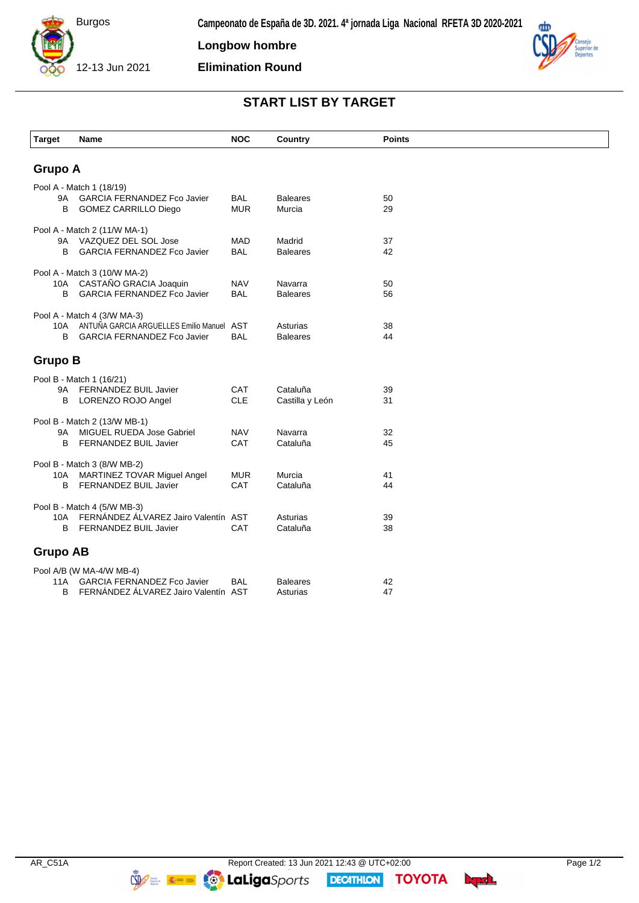

**Longbow hombre**

**Elimination Round**



## **START LIST BY TARGET**

| <b>Target</b>       | Name                                                                                                           | <b>NOC</b>               | Country                     | <b>Points</b> |  |  |
|---------------------|----------------------------------------------------------------------------------------------------------------|--------------------------|-----------------------------|---------------|--|--|
| <b>Grupo A</b>      |                                                                                                                |                          |                             |               |  |  |
| 9Α<br>B             | Pool A - Match 1 (18/19)<br><b>GARCIA FERNANDEZ Fco Javier</b><br><b>GOMEZ CARRILLO Diego</b>                  | <b>BAL</b><br><b>MUR</b> | <b>Baleares</b><br>Murcia   | 50<br>29      |  |  |
| В                   | Pool A - Match 2 (11/W MA-1)<br>9A VAZQUEZ DEL SOL Jose<br><b>GARCIA FERNANDEZ Fco Javier</b>                  | <b>MAD</b><br><b>BAL</b> | Madrid<br><b>Baleares</b>   | 37<br>42      |  |  |
| 10A<br>B            | Pool A - Match 3 (10/W MA-2)<br>CASTAÑO GRACIA Joaquin<br><b>GARCIA FERNANDEZ Fco Javier</b>                   | <b>NAV</b><br><b>BAL</b> | Navarra<br><b>Baleares</b>  | 50<br>56      |  |  |
| 10A<br><sub>B</sub> | Pool A - Match 4 (3/W MA-3)<br>ANTUÑA GARCIA ARGUELLES Emilio Manuel AST<br><b>GARCIA FERNANDEZ Fco Javier</b> | <b>BAL</b>               | Asturias<br><b>Baleares</b> | 38<br>44      |  |  |
| <b>Grupo B</b>      |                                                                                                                |                          |                             |               |  |  |
| 9Α<br>B             | Pool B - Match 1 (16/21)<br>FERNANDEZ BUIL Javier<br>LORENZO ROJO Angel                                        | CAT<br><b>CLE</b>        | Cataluña<br>Castilla y León | 39<br>31      |  |  |
| 9A<br>B             | Pool B - Match 2 (13/W MB-1)<br>MIGUEL RUEDA Jose Gabriel<br>FERNANDEZ BUIL Javier                             | <b>NAV</b><br>CAT        | Navarra<br>Cataluña         | 32<br>45      |  |  |
| 10A<br>B            | Pool B - Match 3 (8/W MB-2)<br>MARTINEZ TOVAR Miguel Angel<br>FERNANDEZ BUIL Javier                            | <b>MUR</b><br><b>CAT</b> | Murcia<br>Cataluña          | 41<br>44      |  |  |
| 10A<br>B            | Pool B - Match 4 (5/W MB-3)<br>FERNANDEZ ALVAREZ Jairo Valentín AST<br>FERNANDEZ BUIL Javier                   | <b>CAT</b>               | Asturias<br>Cataluña        | 39<br>38      |  |  |
| <b>Grupo AB</b>     |                                                                                                                |                          |                             |               |  |  |
| 11A<br>B            | Pool A/B (W MA-4/W MB-4)<br><b>GARCIA FERNANDEZ Fco Javier</b><br>FERNÁNDEZ ÁLVAREZ Jairo Valentín AST         | <b>BAL</b>               | <b>Baleares</b><br>Asturias | 42<br>47      |  |  |

**DECATHION** 

**TOYOTA** byd